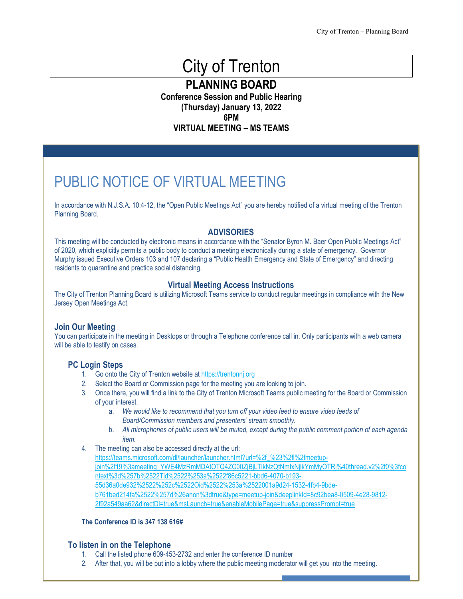# City of Trenton

**PLANNING BOARD**

**Conference Session and Public Hearing (Thursday) January 13, 2022 6PM VIRTUAL MEETING – MS TEAMS**

PUBLIC NOTICE OF VIRTUAL MEETING

In accordance with N.J.S.A. 10:4-12, the "Open Public Meetings Act" you are hereby notified of a virtual meeting of the Trenton Planning Board.

#### **ADVISORIES**

This meeting will be conducted by electronic means in accordance with the "Senator Byron M. Baer Open Public Meetings Act" of 2020, which explicitly permits a public body to conduct a meeting electronically during a state of emergency. Governor Murphy issued Executive Orders 103 and 107 declaring a "Public Health Emergency and State of Emergency" and directing residents to quarantine and practice social distancing.

#### **Virtual Meeting Access Instructions**

The City of Trenton Planning Board is utilizing Microsoft Teams service to conduct regular meetings in compliance with the New Jersey Open Meetings Act.

#### **Join Our Meeting**

You can participate in the meeting in Desktops or through a Telephone conference call in. Only participants with a web camera will be able to testify on cases.

#### **PC Login Steps**

- 1. Go onto the City of Trenton website a[t https://trentonnj.org](https://trentonnj.org/)
- 2. Select the Board or Commission page for the meeting you are looking to join.
- 3. Once there, you will find a link to the City of Trenton Microsoft Teams public meeting for the Board or Commission of your interest.
	- a. *We would like to recommend that you turn off your video feed to ensure video feeds of Board/Commission members and presenters' stream smoothly.*
	- b. *All microphones of public users will be muted, except during the public comment portion of each agenda item.*
- 4. The meeting can also be accessed directly at the url:

[https://teams.microsoft.com/dl/launcher/launcher.html?url=%2f\\_%23%2fl%2fmeetup](https://teams.microsoft.com/dl/launcher/launcher.html?url=%2f_%23%2fl%2fmeetup-join%2f19%3ameeting_YWE4MzRmMDAtOTQ4ZC00ZjBjLTlkNzQtNmIxNjlkYmMyOTRj%40thread.v2%2f0%3fcontext%3d%257b%2522Tid%2522%253a%2522f86c5221-bbd6-4070-b193-55d36a0de932%2522%252c%2522Oid%2522%253a%2522001a9d24-1532-4fb4-9bde-b761bed214fa%2522%257d%26anon%3dtrue&type=meetup-join&deeplinkId=8c92bea8-0509-4e28-9812-2f92a549aa62&directDl=true&msLaunch=true&enableMobilePage=true&suppressPrompt=true)join%2f19%3ameeting\_YWE4MzRmMDAtOTQ4ZC00ZjBjLTlkNzQtNmlxNjlkYmMyOTRj%40thread.v2%2f0%3fco [ntext%3d%257b%2522Tid%2522%253a%2522f86c5221-bbd6-4070-b193-](https://teams.microsoft.com/dl/launcher/launcher.html?url=%2f_%23%2fl%2fmeetup-join%2f19%3ameeting_YWE4MzRmMDAtOTQ4ZC00ZjBjLTlkNzQtNmIxNjlkYmMyOTRj%40thread.v2%2f0%3fcontext%3d%257b%2522Tid%2522%253a%2522f86c5221-bbd6-4070-b193-55d36a0de932%2522%252c%2522Oid%2522%253a%2522001a9d24-1532-4fb4-9bde-b761bed214fa%2522%257d%26anon%3dtrue&type=meetup-join&deeplinkId=8c92bea8-0509-4e28-9812-2f92a549aa62&directDl=true&msLaunch=true&enableMobilePage=true&suppressPrompt=true) [55d36a0de932%2522%252c%2522Oid%2522%253a%2522001a9d24-1532-4fb4-9bde](https://teams.microsoft.com/dl/launcher/launcher.html?url=%2f_%23%2fl%2fmeetup-join%2f19%3ameeting_YWE4MzRmMDAtOTQ4ZC00ZjBjLTlkNzQtNmIxNjlkYmMyOTRj%40thread.v2%2f0%3fcontext%3d%257b%2522Tid%2522%253a%2522f86c5221-bbd6-4070-b193-55d36a0de932%2522%252c%2522Oid%2522%253a%2522001a9d24-1532-4fb4-9bde-b761bed214fa%2522%257d%26anon%3dtrue&type=meetup-join&deeplinkId=8c92bea8-0509-4e28-9812-2f92a549aa62&directDl=true&msLaunch=true&enableMobilePage=true&suppressPrompt=true)[b761bed214fa%2522%257d%26anon%3dtrue&type=meetup-join&deeplinkId=8c92bea8-0509-4e28-9812-](https://teams.microsoft.com/dl/launcher/launcher.html?url=%2f_%23%2fl%2fmeetup-join%2f19%3ameeting_YWE4MzRmMDAtOTQ4ZC00ZjBjLTlkNzQtNmIxNjlkYmMyOTRj%40thread.v2%2f0%3fcontext%3d%257b%2522Tid%2522%253a%2522f86c5221-bbd6-4070-b193-55d36a0de932%2522%252c%2522Oid%2522%253a%2522001a9d24-1532-4fb4-9bde-b761bed214fa%2522%257d%26anon%3dtrue&type=meetup-join&deeplinkId=8c92bea8-0509-4e28-9812-2f92a549aa62&directDl=true&msLaunch=true&enableMobilePage=true&suppressPrompt=true) [2f92a549aa62&directDl=true&msLaunch=true&enableMobilePage=true&suppressPrompt=true](https://teams.microsoft.com/dl/launcher/launcher.html?url=%2f_%23%2fl%2fmeetup-join%2f19%3ameeting_YWE4MzRmMDAtOTQ4ZC00ZjBjLTlkNzQtNmIxNjlkYmMyOTRj%40thread.v2%2f0%3fcontext%3d%257b%2522Tid%2522%253a%2522f86c5221-bbd6-4070-b193-55d36a0de932%2522%252c%2522Oid%2522%253a%2522001a9d24-1532-4fb4-9bde-b761bed214fa%2522%257d%26anon%3dtrue&type=meetup-join&deeplinkId=8c92bea8-0509-4e28-9812-2f92a549aa62&directDl=true&msLaunch=true&enableMobilePage=true&suppressPrompt=true)

#### **The Conference ID is 347 138 616#**

#### **To listen in on the Telephone**

- 1. Call the listed phone 609-453-2732 and enter the conference ID number
- 2. After that, you will be put into a lobby where the public meeting moderator will get you into the meeting.